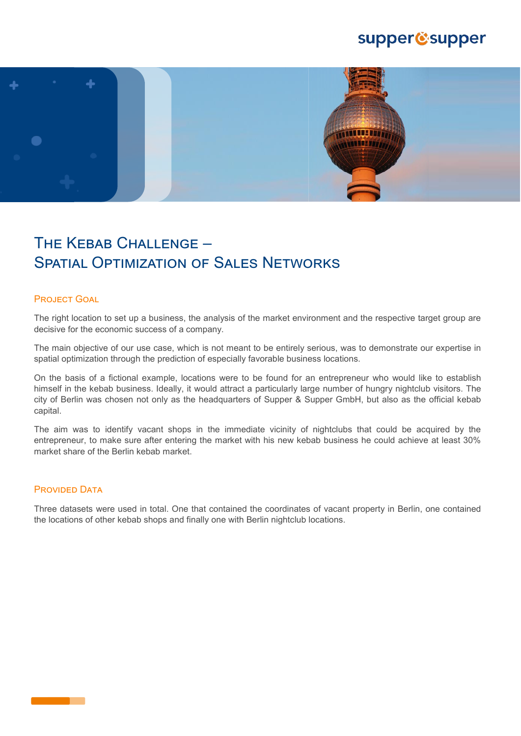### supper@supper



# THE KEBAB CHALLENGE -SPATIAL OPTIMIZATION OF SALES NETWORKS

#### **PROJECT GOAL**

The right location to set up a business, the analysis of the market environment and the respective target group are decisive for the economic success of a company.

The main objective of our use case, which is not meant to be entirely serious, was to demonstrate our expertise in spatial optimization through the prediction of especially favorable business locations.

On the basis of a fictional example, locations were to be found for an entrepreneur who would like to establish himself in the kebab business. Ideally, it would attract a particularly large number of hungry nightclub visitors. The city of Berlin was chosen not only as the headquarters of Supper & Supper GmbH, but also as the official kebab capital.

The aim was to identify vacant shops in the immediate vicinity of nightclubs that could be acquired by the entrepreneur, to make sure after entering the market with his new kebab business he could achieve at least 30% market share of the Berlin kebab market.

#### **PROVIDED DATA**

Three datasets were used in total. One that contained the coordinates of vacant property in Berlin, one contained the locations of other kebab shops and finally one with Berlin nightclub locations.